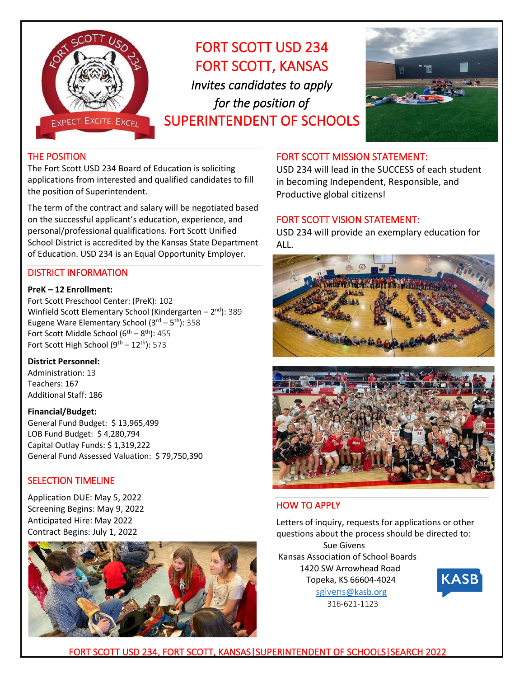

# FORT SCOTT USD 234 FORT SCOTT, KANSAS *Invites candidates to apply for the position of*  SUPERINTENDENT OF SCHOOLS



#### THE POSITION

The Fort Scott USD 234 Board of Education is soliciting applications from interested and qualified candidates to fill the position of Superintendent.

The term of the contract and salary will be negotiated based on the successful applicant's education, experience, and personal/professional qualifications. Fort Scott Unified School District is accredited by the Kansas State Department of Education. USD 234 is an Equal Opportunity Employer.

#### DISTRICT INFORMATION

#### **PreK – 12 Enrollment:**

Fort Scott Preschool Center: (PreK): 102 Winfield Scott Elementary School (Kindergarten – 2<sup>nd</sup>): 389 Eugene Ware Elementary School (3<sup>rd</sup> – 5<sup>th</sup>): 358 Fort Scott Middle School  $(6^{th} – 8^{th})$ : 455 Fort Scott High School (9<sup>th</sup> – 12<sup>th</sup>): 573 Ī

#### **District Personnel:**

Administration: 13 Teachers: 167 Additional Staff: 186

#### **Financial/Budget:**

General Fund Budget: \$ 13,965,499 LOB Fund Budget: \$ 4,280,794 Capital Outlay Funds: \$ 1,319,222 General Fund Assessed Valuation: \$ 79,750,390

## SELECTION TIMELINE

Application DUE: May 5, 2022 Screening Begins: May 9, 2022 Anticipated Hire: May 2022 Contract Begins: July 1, 2022



#### FORT SCOTT MISSION STATEMENT:

USD 234 will lead in the SUCCESS of each student in becoming Independent, Responsible, and Productive global citizens!

#### FORT SCOTT VISION STATEMENT:

USD 234 will provide an exemplary education for ALL.





## HOW TO APPLY

Letters of inquiry, requests for applications or other questions about the process should be directed to: Sue Givens Kansas Association of School Boards 1420 SW Arrowhead Road

 Topeka, KS 66604-4024 [sgivens](mailto:sgivens@kasb.org)[@kasb.org](mailto:sgivens@kasb.org) 316-621-1123